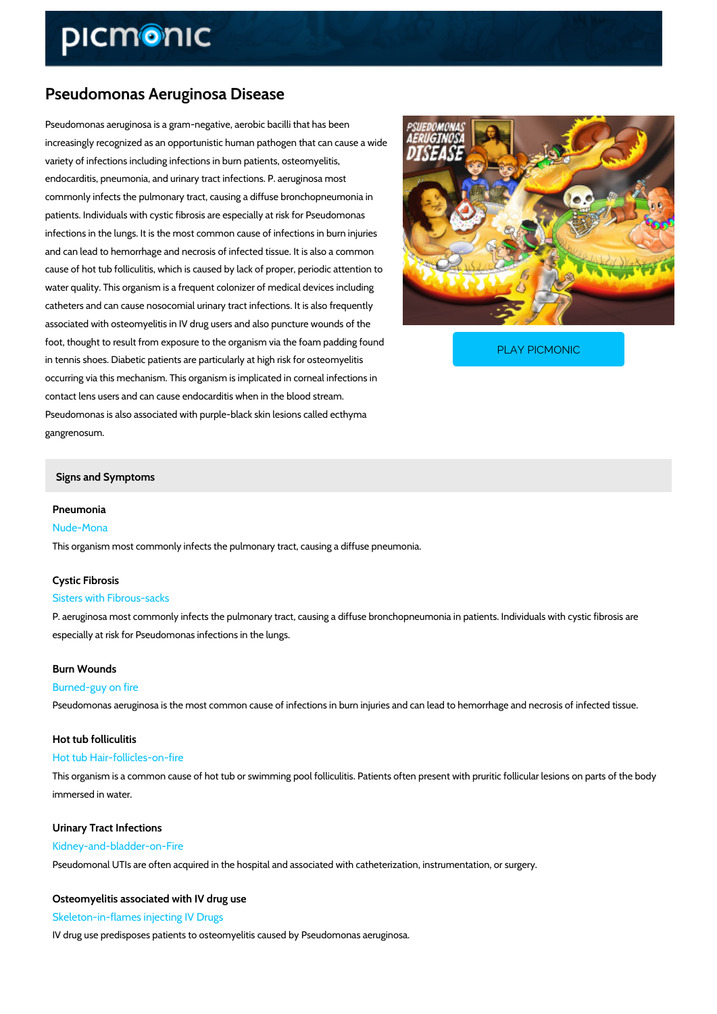## Pseudomonas Aeruginosa Disease

Pseudomonas aeruginosa is a gram-negative, aerobic bacilli that has been increasingly recognized as an opportunistic human pathogen that can cause a wide variety of infections including infections in burn patients, osteomyelitis, endocarditis, pneumonia, and urinary tract infections. P. aeruginosa most commonly infects the pulmonary tract, causing a diffuse bronchopneumonia in patients. Individuals with cystic fibrosis are especially at risk for Pseudomonas infections in the lungs. It is the most common cause of infections in burn injuries and can lead to hemorrhage and necrosis of infected tissue. It is also a common cause of hot tub folliculitis, which is caused by lack of proper, periodic attention to water quality. This organism is a frequent colonizer of medical devices including catheters and can cause nosocomial urinary tract infections. It is also frequently associated with osteomyelitis in IV drug users and also puncture wounds of the

foot, thought to result from exposure to the organism via in tennis shoes. Diabetic patients are particularly at high

PLAY PICMONIC

occurring via this mechanism. This organism is implicated in corneal infections in contact lens users and can cause endocarditis when in the blood stream. Pseudomonas is also associated with purple-black skin lesions called ecthyma gangrenosum.

#### Signs and Symptoms

#### Pneumonia

Nude-Mona This organism most commonly infects the pulmonary tract, causing a diffuse pneumonia.

# Cystic Fibrosis

# Sisters with Fibrous-sacks

P. aeruginosa most commonly infects the pulmonary tract, causing a diffuse bronchopneumonia especially at risk for Pseudomonas infections in the lungs.

# Burn Wounds

## Burned-guy on fire

Pseudomonas aeruginosa is the most common cause of infections in burn injuries and can lead

## Hot tub folliculitis

# Hot tub Hair-follicles-on-fire

This organism is a common cause of hot tub or swimming pool folliculitis. Patients often prese immersed in water.

## Urinary Tract Infections Kidney-and-bladder-on-Fire Pseudomonal UTIs are often acquired in the hospital and associated with catheterization, inst

### Osteomyelitis associated with IV drug use Skeleton-in-flames injecting IV Drugs

IV drug use predisposes patients to osteomyelitis caused by Pseudomonas aeruginosa.